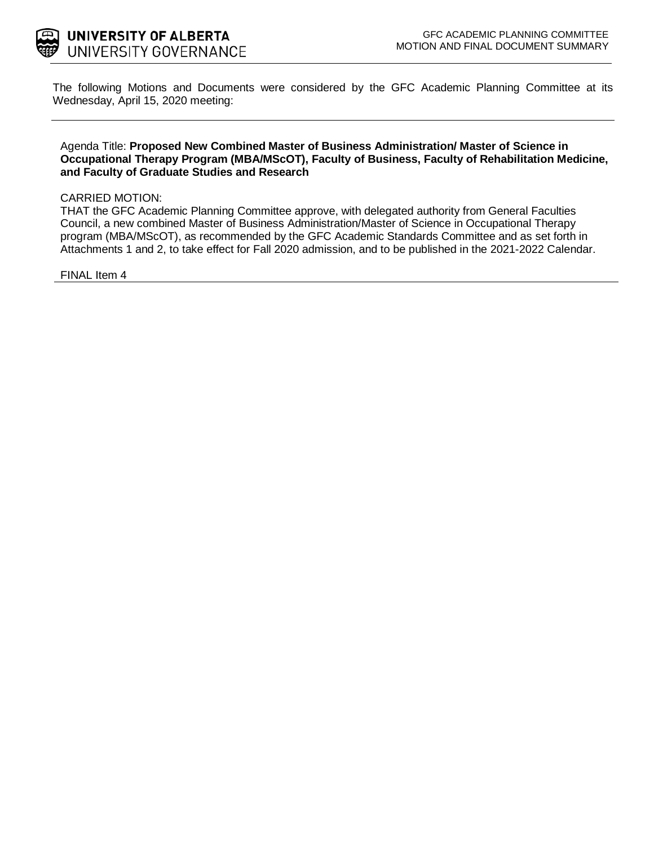

The following Motions and Documents were considered by the GFC Academic Planning Committee at its Wednesday, April 15, 2020 meeting:

### Agenda Title: **Proposed New Combined Master of Business Administration/ Master of Science in Occupational Therapy Program (MBA/MScOT), Faculty of Business, Faculty of Rehabilitation Medicine, and Faculty of Graduate Studies and Research**

#### CARRIED MOTION:

THAT the GFC Academic Planning Committee approve, with delegated authority from General Faculties Council, a new combined Master of Business Administration/Master of Science in Occupational Therapy program (MBA/MScOT), as recommended by the GFC Academic Standards Committee and as set forth in Attachments 1 and 2, to take effect for Fall 2020 admission, and to be published in the 2021-2022 Calendar.

FINAL Item 4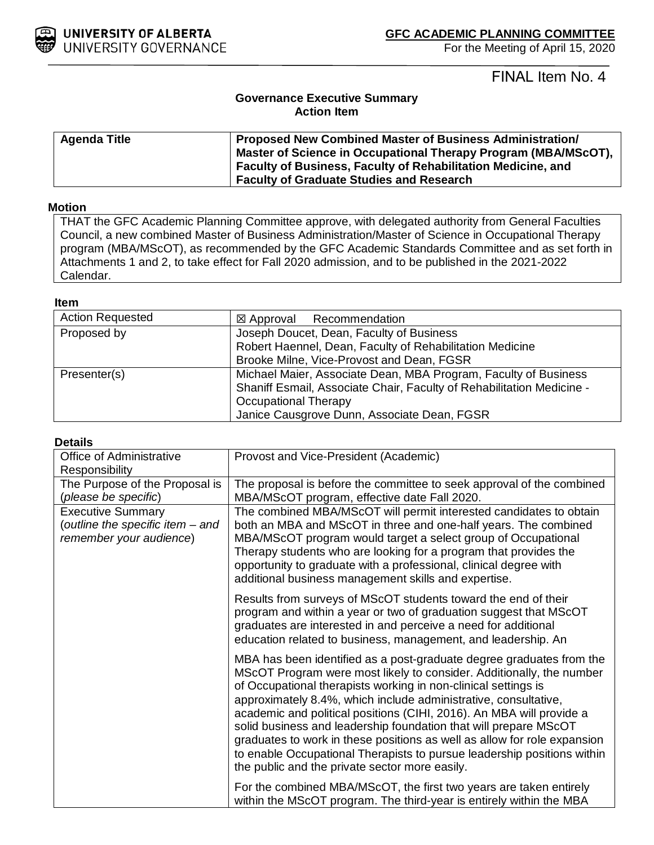

For the Meeting of April 15, 2020

FINAL Item No. 4

### **Governance Executive Summary Action Item**

| <b>Agenda Title</b> | <b>Proposed New Combined Master of Business Administration/</b>                                                                |
|---------------------|--------------------------------------------------------------------------------------------------------------------------------|
|                     | Master of Science in Occupational Therapy Program (MBA/MScOT),<br>Faculty of Business, Faculty of Rehabilitation Medicine, and |
|                     | <b>Faculty of Graduate Studies and Research</b>                                                                                |

### **Motion**

THAT the GFC Academic Planning Committee approve, with delegated authority from General Faculties Council, a new combined Master of Business Administration/Master of Science in Occupational Therapy program (MBA/MScOT), as recommended by the GFC Academic Standards Committee and as set forth in Attachments 1 and 2, to take effect for Fall 2020 admission, and to be published in the 2021-2022 Calendar.

#### **Item**

| <b>Action Requested</b> | $\boxtimes$ Approval Recommendation                                                                                                                                                                                    |  |
|-------------------------|------------------------------------------------------------------------------------------------------------------------------------------------------------------------------------------------------------------------|--|
| Proposed by             | Joseph Doucet, Dean, Faculty of Business<br>Robert Haennel, Dean, Faculty of Rehabilitation Medicine<br>Brooke Milne, Vice-Provost and Dean, FGSR                                                                      |  |
| Presenter(s)            | Michael Maier, Associate Dean, MBA Program, Faculty of Business<br>Shaniff Esmail, Associate Chair, Faculty of Rehabilitation Medicine -<br><b>Occupational Therapy</b><br>Janice Causgrove Dunn, Associate Dean, FGSR |  |

### **Details**

| <b>Office of Administrative</b><br>Responsibility                                       | Provost and Vice-President (Academic)                                                                                                                                                                                                                                                                                                                                                                                                                                                                                                                                                                                                  |
|-----------------------------------------------------------------------------------------|----------------------------------------------------------------------------------------------------------------------------------------------------------------------------------------------------------------------------------------------------------------------------------------------------------------------------------------------------------------------------------------------------------------------------------------------------------------------------------------------------------------------------------------------------------------------------------------------------------------------------------------|
| The Purpose of the Proposal is<br>(please be specific)                                  | The proposal is before the committee to seek approval of the combined<br>MBA/MScOT program, effective date Fall 2020.                                                                                                                                                                                                                                                                                                                                                                                                                                                                                                                  |
| <b>Executive Summary</b><br>(outline the specific item - and<br>remember your audience) | The combined MBA/MScOT will permit interested candidates to obtain<br>both an MBA and MScOT in three and one-half years. The combined<br>MBA/MScOT program would target a select group of Occupational<br>Therapy students who are looking for a program that provides the<br>opportunity to graduate with a professional, clinical degree with<br>additional business management skills and expertise.                                                                                                                                                                                                                                |
|                                                                                         | Results from surveys of MScOT students toward the end of their<br>program and within a year or two of graduation suggest that MScOT<br>graduates are interested in and perceive a need for additional<br>education related to business, management, and leadership. An                                                                                                                                                                                                                                                                                                                                                                 |
|                                                                                         | MBA has been identified as a post-graduate degree graduates from the<br>MScOT Program were most likely to consider. Additionally, the number<br>of Occupational therapists working in non-clinical settings is<br>approximately 8.4%, which include administrative, consultative,<br>academic and political positions (CIHI, 2016). An MBA will provide a<br>solid business and leadership foundation that will prepare MScOT<br>graduates to work in these positions as well as allow for role expansion<br>to enable Occupational Therapists to pursue leadership positions within<br>the public and the private sector more easily. |
|                                                                                         | For the combined MBA/MScOT, the first two years are taken entirely<br>within the MScOT program. The third-year is entirely within the MBA                                                                                                                                                                                                                                                                                                                                                                                                                                                                                              |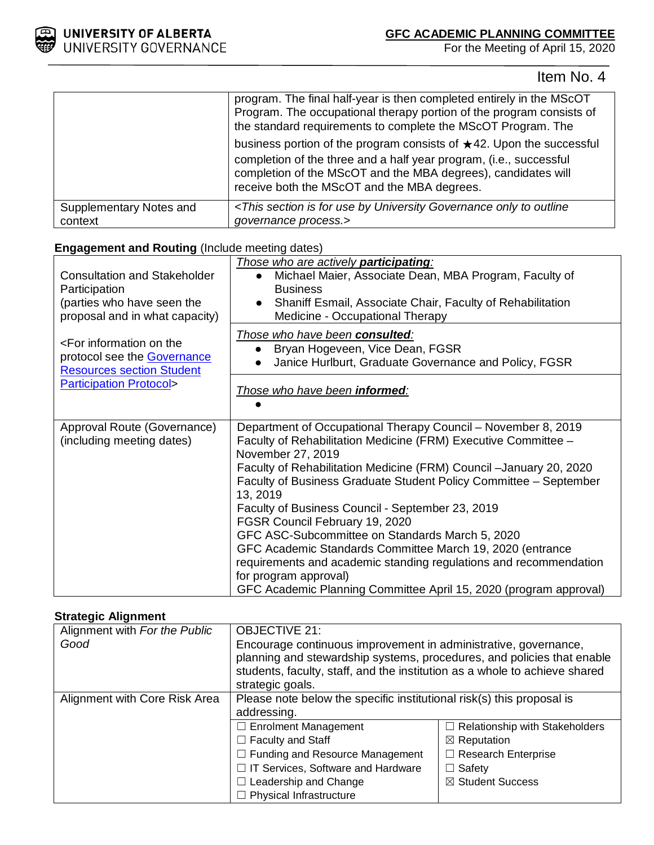

For the Meeting of April 15, 2020

Item No. 4

|                                    | program. The final half-year is then completed entirely in the MScOT<br>Program. The occupational therapy portion of the program consists of<br>the standard requirements to complete the MScOT Program. The                                                      |
|------------------------------------|-------------------------------------------------------------------------------------------------------------------------------------------------------------------------------------------------------------------------------------------------------------------|
|                                    | business portion of the program consists of $\star$ 42. Upon the successful<br>completion of the three and a half year program, (i.e., successful<br>completion of the MScOT and the MBA degrees), candidates will<br>receive both the MScOT and the MBA degrees. |
| Supplementary Notes and<br>context | <this by="" for="" governance="" is="" only="" outline<br="" section="" to="" university="" use="">governance process.&gt;</this>                                                                                                                                 |

# **Engagement and Routing** (Include meeting dates)

| <b>Consultation and Stakeholder</b><br>Participation<br>(parties who have seen the<br>proposal and in what capacity)                                    | Those who are actively <b>participating</b> :<br>Michael Maier, Associate Dean, MBA Program, Faculty of<br><b>Business</b><br>Shaniff Esmail, Associate Chair, Faculty of Rehabilitation<br>Medicine - Occupational Therapy                                                                                                                                                                                                                                                                                                                                                                                                                                                          |
|---------------------------------------------------------------------------------------------------------------------------------------------------------|--------------------------------------------------------------------------------------------------------------------------------------------------------------------------------------------------------------------------------------------------------------------------------------------------------------------------------------------------------------------------------------------------------------------------------------------------------------------------------------------------------------------------------------------------------------------------------------------------------------------------------------------------------------------------------------|
| <for information="" on="" the<br="">protocol see the <b>Governance</b><br/><b>Resources section Student</b><br/><b>Participation Protocol&gt;</b></for> | Those who have been consulted:<br>Bryan Hogeveen, Vice Dean, FGSR<br>Janice Hurlburt, Graduate Governance and Policy, FGSR                                                                                                                                                                                                                                                                                                                                                                                                                                                                                                                                                           |
|                                                                                                                                                         | Those who have been informed:                                                                                                                                                                                                                                                                                                                                                                                                                                                                                                                                                                                                                                                        |
| Approval Route (Governance)<br>(including meeting dates)                                                                                                | Department of Occupational Therapy Council - November 8, 2019<br>Faculty of Rehabilitation Medicine (FRM) Executive Committee -<br>November 27, 2019<br>Faculty of Rehabilitation Medicine (FRM) Council -January 20, 2020<br>Faculty of Business Graduate Student Policy Committee - September<br>13, 2019<br>Faculty of Business Council - September 23, 2019<br>FGSR Council February 19, 2020<br>GFC ASC-Subcommittee on Standards March 5, 2020<br>GFC Academic Standards Committee March 19, 2020 (entrance<br>requirements and academic standing regulations and recommendation<br>for program approval)<br>GFC Academic Planning Committee April 15, 2020 (program approval) |

### **Strategic Alignment**

| Alignment with For the Public | <b>OBJECTIVE 21:</b>                                                       |                                       |
|-------------------------------|----------------------------------------------------------------------------|---------------------------------------|
| Good                          | Encourage continuous improvement in administrative, governance,            |                                       |
|                               | planning and stewardship systems, procedures, and policies that enable     |                                       |
|                               | students, faculty, staff, and the institution as a whole to achieve shared |                                       |
|                               | strategic goals.                                                           |                                       |
| Alignment with Core Risk Area | Please note below the specific institutional risk(s) this proposal is      |                                       |
|                               | addressing.                                                                |                                       |
|                               | $\Box$ Enrolment Management                                                | $\Box$ Relationship with Stakeholders |
|                               | $\Box$ Faculty and Staff                                                   | $\boxtimes$ Reputation                |
|                               | $\Box$ Funding and Resource Management                                     | $\Box$ Research Enterprise            |
|                               | □ IT Services, Software and Hardware                                       | $\Box$ Safety                         |
|                               | $\Box$ Leadership and Change                                               | ⊠ Student Success                     |
|                               | <b>Physical Infrastructure</b>                                             |                                       |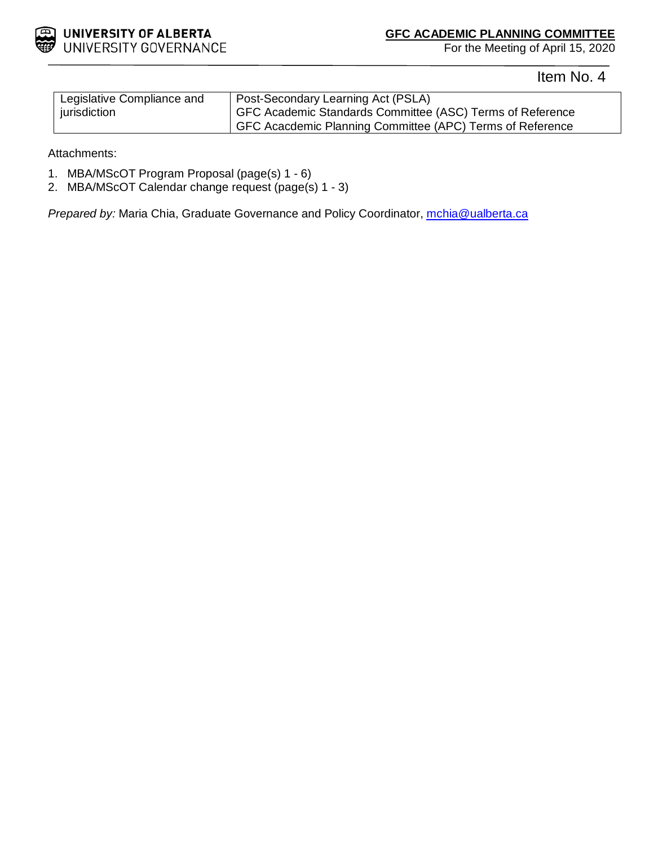

For the Meeting of April 15, 2020

Item No. 4

| Legislative Compliance and | Post-Secondary Learning Act (PSLA)                        |
|----------------------------|-----------------------------------------------------------|
| jurisdiction               | GFC Academic Standards Committee (ASC) Terms of Reference |
|                            | GFC Acacdemic Planning Committee (APC) Terms of Reference |

Attachments:

- 1. MBA/MScOT Program Proposal (page(s) 1 6)
- 2. MBA/MScOT Calendar change request (page(s) 1 3)

*Prepared by:* Maria Chia, Graduate Governance and Policy Coordinator, *mchia@ualberta.ca*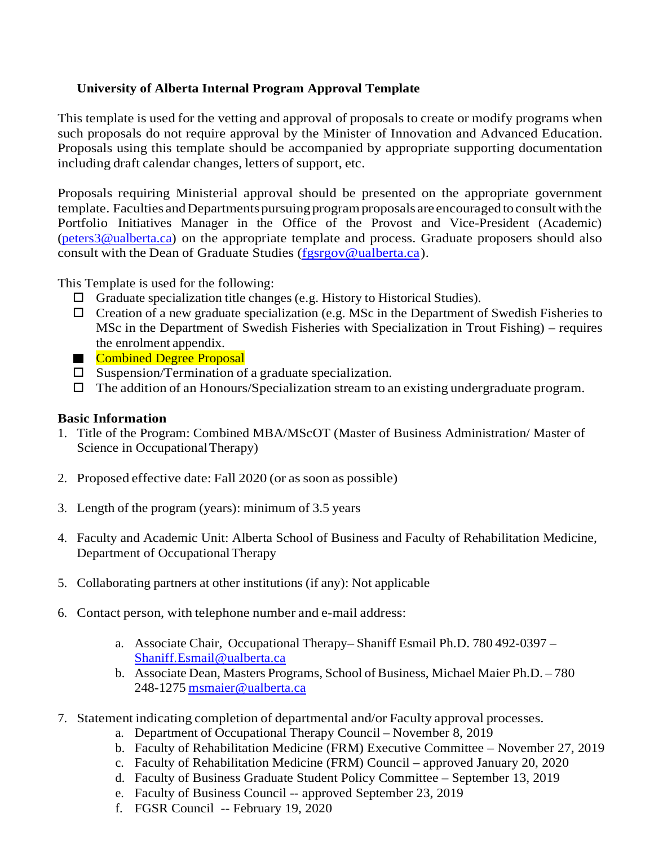# **University of Alberta Internal Program Approval Template**

This template is used for the vetting and approval of proposals to create or modify programs when such proposals do not require approval by the Minister of Innovation and Advanced Education. Proposals using this template should be accompanied by appropriate supporting documentation including draft calendar changes, letters of support, etc.

Proposals requiring Ministerial approval should be presented on the appropriate government template. Faculties and Departments pursuing program proposals are encouraged to consult with the Portfolio Initiatives Manager in the Office of the Provost and Vice-President (Academic) [\(peters3@ualberta.ca\)](mailto:peters3@ualberta.ca) on the appropriate template and process. Graduate proposers should also consult with the Dean of Graduate Studies [\(fgsrgov@ualberta.ca\)](mailto:fgsrgov@ualberta.ca).

This Template is used for the following:

- $\Box$  Graduate specialization title changes (e.g. History to Historical Studies).
- $\Box$  Creation of a new graduate specialization (e.g. MSc in the Department of Swedish Fisheries to MSc in the Department of Swedish Fisheries with Specialization in Trout Fishing) – requires the enrolment appendix.
- **Combined Degree Proposal**
- $\square$  Suspension/Termination of a graduate specialization.
- $\Box$  The addition of an Honours/Specialization stream to an existing undergraduate program.

### **Basic Information**

- 1. Title of the Program: Combined MBA/MScOT (Master of Business Administration/ Master of Science in Occupational Therapy)
- 2. Proposed effective date: Fall 2020 (or as soon as possible)
- 3. Length of the program (years): minimum of 3.5 years
- 4. Faculty and Academic Unit: Alberta School of Business and Faculty of Rehabilitation Medicine, Department of Occupational Therapy
- 5. Collaborating partners at other institutions (if any): Not applicable
- 6. Contact person, with telephone number and e-mail address:
	- a. Associate Chair, Occupational Therapy– Shaniff Esmail Ph.D. 780 492-0397 [Shaniff.Esmail@ualberta.ca](mailto:Shaniff.Esmail@ualberta.ca)
	- b. Associate Dean, Masters Programs, School of Business, Michael Maier Ph.D. 780 248-1275 [msmaier@ualberta.ca](mailto:msmaier@ualberta.ca)
- 7. Statement indicating completion of departmental and/or Faculty approval processes.
	- a. Department of Occupational Therapy Council November 8, 2019
	- b. Faculty of Rehabilitation Medicine (FRM) Executive Committee November 27, 2019
	- c. Faculty of Rehabilitation Medicine (FRM) Council approved January 20, 2020
	- d. Faculty of Business Graduate Student Policy Committee September 13, 2019
	- e. Faculty of Business Council -- approved September 23, 2019
	- f. FGSR Council -- February 19, 2020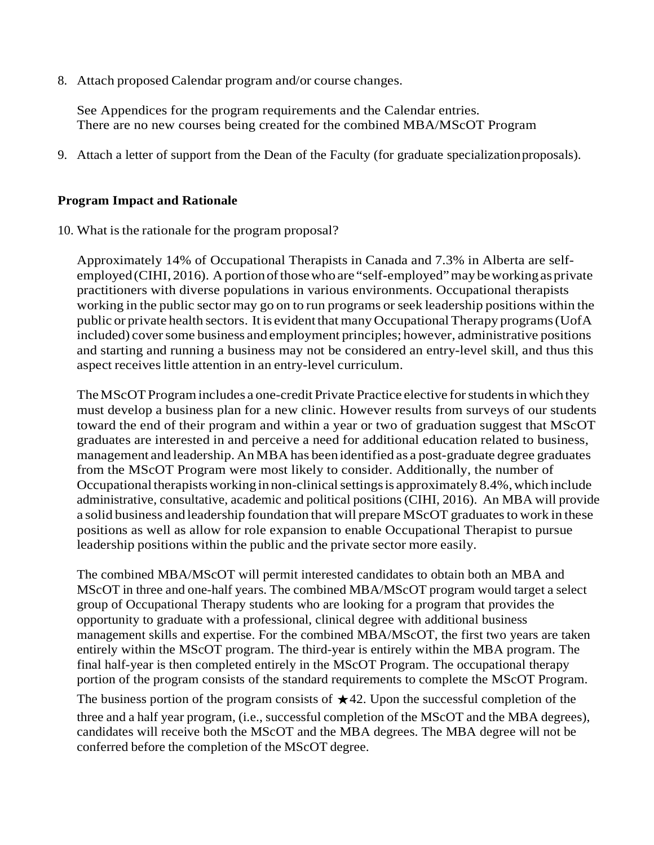8. Attach proposed Calendar program and/or course changes.

See Appendices for the program requirements and the Calendar entries. There are no new courses being created for the combined MBA/MScOT Program

9. Attach a letter of support from the Dean of the Faculty (for graduate specializationproposals).

### **Program Impact and Rationale**

10. What is the rationale for the program proposal?

Approximately 14% of Occupational Therapists in Canada and 7.3% in Alberta are selfemployed (CIHI, 2016). A portion of those who are "self-employed" may be working as private practitioners with diverse populations in various environments. Occupational therapists working in the public sector may go on to run programs or seek leadership positions within the public or private health sectors. It is evident that many Occupational Therapy programs (UofA included) coversome business and employment principles; however, administrative positions and starting and running a business may not be considered an entry-level skill, and thus this aspect receives little attention in an entry-level curriculum.

The MScOT Program includes a one-credit Private Practice elective for students in which they must develop a business plan for a new clinic. However results from surveys of our students toward the end of their program and within a year or two of graduation suggest that MScOT graduates are interested in and perceive a need for additional education related to business, management and leadership. AnMBA has been identified as a post-graduate degree graduates from the MScOT Program were most likely to consider. Additionally, the number of Occupational therapists working in non-clinical settings is approximately 8.4%, which include administrative, consultative, academic and political positions(CIHI, 2016). An MBA will provide a solid business and leadership foundation that will prepare MScOT graduates to work in these positions as well as allow for role expansion to enable Occupational Therapist to pursue leadership positions within the public and the private sector more easily.

The combined MBA/MScOT will permit interested candidates to obtain both an MBA and MScOT in three and one-half years. The combined MBA/MScOT program would target a select group of Occupational Therapy students who are looking for a program that provides the opportunity to graduate with a professional, clinical degree with additional business management skills and expertise. For the combined MBA/MScOT, the first two years are taken entirely within the MScOT program. The third-year is entirely within the MBA program. The final half-year is then completed entirely in the MScOT Program. The occupational therapy portion of the program consists of the standard requirements to complete the MScOT Program.

The business portion of the program consists of  $\star$ 42. Upon the successful completion of the three and a half year program, (i.e., successful completion of the MScOT and the MBA degrees), candidates will receive both the MScOT and the MBA degrees. The MBA degree will not be conferred before the completion of the MScOT degree.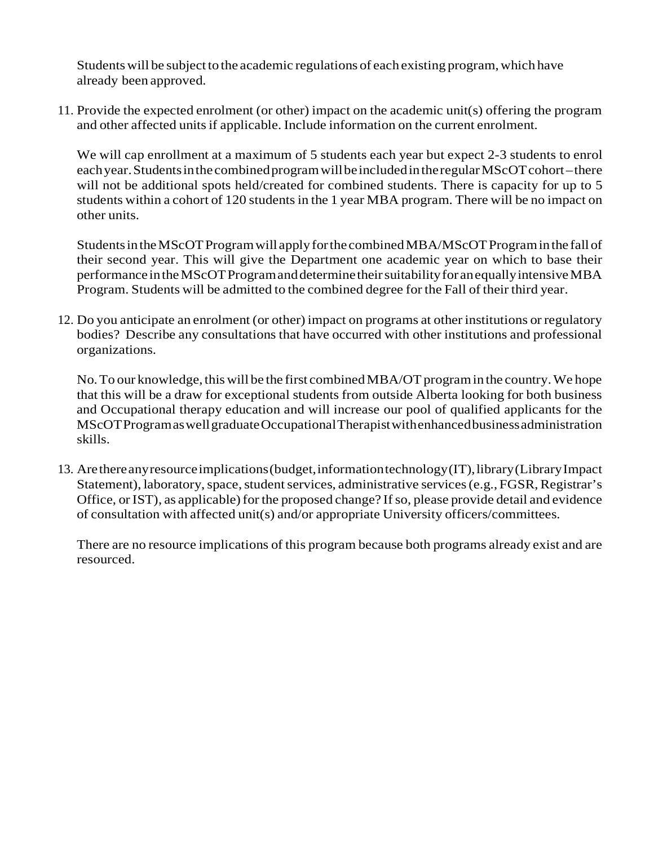Students will be subject to the academic regulations of each existing program, which have already been approved.

11. Provide the expected enrolment (or other) impact on the academic unit(s) offering the program and other affected units if applicable. Include information on the current enrolment.

We will cap enrollment at a maximum of 5 students each year but expect 2-3 students to enrol each year. Students in the combined program will be included in the regular MScOT cohort–there will not be additional spots held/created for combined students. There is capacity for up to 5 students within a cohort of 120 students in the 1 year MBA program. There will be no impact on other units.

StudentsintheMScOTProgramwill applyforthecombinedMBA/MScOTPrograminthe fallof their second year. This will give the Department one academic year on which to base their performanceintheMScOTProgramanddeterminetheirsuitabilityfor anequallyintensiveMBA Program. Students will be admitted to the combined degree for the Fall of their third year.

12. Do you anticipate an enrolment (or other) impact on programs at other institutions or regulatory bodies? Describe any consultations that have occurred with other institutions and professional organizations.

No. To our knowledge, this will be the first combined MBA/OT program in the country. We hope that this will be a draw for exceptional students from outside Alberta looking for both business and Occupational therapy education and will increase our pool of qualified applicants for the MScOTProgramaswellgraduateOccupationalTherapistwithenhancedbusinessadministration skills.

13. Arethereanyresourceimplications(budget,informationtechnology(IT),library(LibraryImpact Statement), laboratory, space, student services, administrative services (e.g., FGSR, Registrar's Office, or IST), as applicable) for the proposed change? If so, please provide detail and evidence of consultation with affected unit(s) and/or appropriate University officers/committees.

There are no resource implications of this program because both programs already exist and are resourced.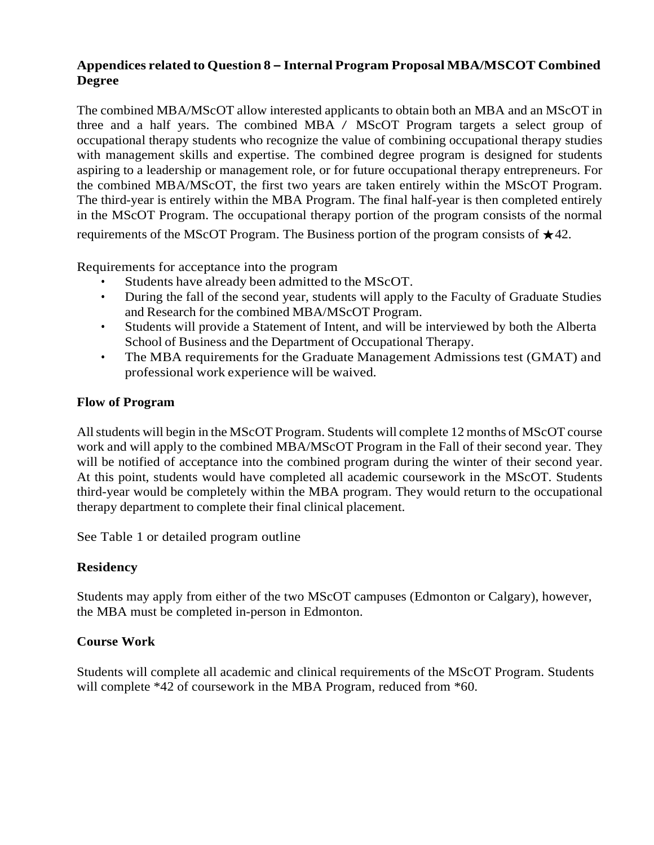# **Appendices related to Question 8 – Internal Program Proposal MBA/MSCOT Combined Degree**

The combined MBA/MScOT allow interested applicants to obtain both an MBA and an MScOT in three and a half years. The combined MBA / MScOT Program targets a select group of occupational therapy students who recognize the value of combining occupational therapy studies with management skills and expertise. The combined degree program is designed for students aspiring to a leadership or management role, or for future occupational therapy entrepreneurs. For the combined MBA/MScOT, the first two years are taken entirely within the MScOT Program. The third-year is entirely within the MBA Program. The final half-year is then completed entirely in the MScOT Program. The occupational therapy portion of the program consists of the normal requirements of the MScOT Program. The Business portion of the program consists of  $\star$ 42.

Requirements for acceptance into the program

- Students have already been admitted to the MScOT.
- During the fall of the second year, students will apply to the Faculty of Graduate Studies and Research for the combined MBA/MScOT Program.
- Students will provide a Statement of Intent, and will be interviewed by both the Alberta School of Business and the Department of Occupational Therapy.
- The MBA requirements for the Graduate Management Admissions test (GMAT) and professional work experience will be waived.

# **Flow of Program**

Allstudents will begin in the MScOT Program. Students will complete 12 months of MScOT course work and will apply to the combined MBA/MScOT Program in the Fall of their second year. They will be notified of acceptance into the combined program during the winter of their second year. At this point, students would have completed all academic coursework in the MScOT. Students third-year would be completely within the MBA program. They would return to the occupational therapy department to complete their final clinical placement.

See Table 1 or detailed program outline

# **Residency**

Students may apply from either of the two MScOT campuses (Edmonton or Calgary), however, the MBA must be completed in-person in Edmonton.

### **Course Work**

Students will complete all academic and clinical requirements of the MScOT Program. Students will complete  $*42$  of coursework in the MBA Program, reduced from  $*60$ .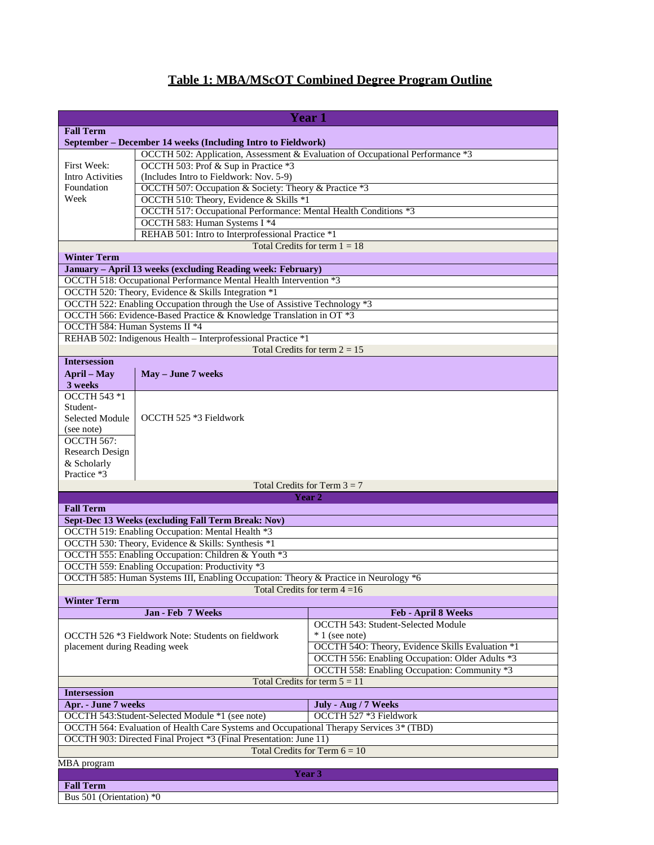# **Table 1: MBA/MScOT Combined Degree Program Outline**

|                                 |                                                                                                                        | <b>Year 1</b>                                    |  |
|---------------------------------|------------------------------------------------------------------------------------------------------------------------|--------------------------------------------------|--|
| <b>Fall Term</b>                |                                                                                                                        |                                                  |  |
|                                 | September - December 14 weeks (Including Intro to Fieldwork)                                                           |                                                  |  |
|                                 |                                                                                                                        |                                                  |  |
| First Week:                     | OCCTH 502: Application, Assessment & Evaluation of Occupational Performance *3<br>OCCTH 503: Prof & Sup in Practice *3 |                                                  |  |
| <b>Intro Activities</b>         | (Includes Intro to Fieldwork: Nov. 5-9)                                                                                |                                                  |  |
| Foundation                      | OCCTH 507: Occupation & Society: Theory & Practice *3                                                                  |                                                  |  |
| Week                            | OCCTH 510: Theory, Evidence & Skills *1                                                                                |                                                  |  |
|                                 | OCCTH 517: Occupational Performance: Mental Health Conditions *3                                                       |                                                  |  |
|                                 | OCCTH 583: Human Systems I *4                                                                                          |                                                  |  |
|                                 | REHAB 501: Intro to Interprofessional Practice *1                                                                      |                                                  |  |
|                                 |                                                                                                                        | Total Credits for term $1 = 18$                  |  |
| <b>Winter Term</b>              |                                                                                                                        |                                                  |  |
|                                 | January - April 13 weeks (excluding Reading week: February)                                                            |                                                  |  |
|                                 | OCCTH 518: Occupational Performance Mental Health Intervention *3                                                      |                                                  |  |
|                                 | OCCTH 520: Theory, Evidence & Skills Integration *1                                                                    |                                                  |  |
|                                 | OCCTH 522: Enabling Occupation through the Use of Assistive Technology *3                                              |                                                  |  |
|                                 | OCCTH 566: Evidence-Based Practice & Knowledge Translation in OT *3                                                    |                                                  |  |
| OCCTH 584: Human Systems II *4  |                                                                                                                        |                                                  |  |
|                                 | REHAB 502: Indigenous Health - Interprofessional Practice *1                                                           |                                                  |  |
|                                 |                                                                                                                        | Total Credits for term $2 = 15$                  |  |
| <b>Intersession</b>             |                                                                                                                        |                                                  |  |
| <b>April</b> – May              | May - June 7 weeks                                                                                                     |                                                  |  |
| 3 weeks                         |                                                                                                                        |                                                  |  |
| OCCTH 543 *1                    |                                                                                                                        |                                                  |  |
| Student-                        |                                                                                                                        |                                                  |  |
| Selected Module                 | OCCTH 525 *3 Fieldwork                                                                                                 |                                                  |  |
| (see note)                      |                                                                                                                        |                                                  |  |
| OCCTH 567:                      |                                                                                                                        |                                                  |  |
| <b>Research Design</b>          |                                                                                                                        |                                                  |  |
| & Scholarly                     |                                                                                                                        |                                                  |  |
| Practice *3                     |                                                                                                                        |                                                  |  |
|                                 |                                                                                                                        | Total Credits for Term $3 = 7$                   |  |
|                                 |                                                                                                                        | Year 2                                           |  |
| <b>Fall Term</b>                |                                                                                                                        |                                                  |  |
|                                 | Sept-Dec 13 Weeks (excluding Fall Term Break: Nov)                                                                     |                                                  |  |
|                                 | OCCTH 519: Enabling Occupation: Mental Health *3                                                                       |                                                  |  |
|                                 | OCCTH 530: Theory, Evidence & Skills: Synthesis *1                                                                     |                                                  |  |
|                                 | OCCTH 555: Enabling Occupation: Children & Youth *3                                                                    |                                                  |  |
|                                 | OCCTH 559: Enabling Occupation: Productivity *3                                                                        |                                                  |  |
|                                 | OCCTH 585: Human Systems III, Enabling Occupation: Theory & Practice in Neurology *6                                   |                                                  |  |
|                                 |                                                                                                                        | Total Credits for term $4 = 16$                  |  |
| <b>Winter Term</b>              |                                                                                                                        |                                                  |  |
|                                 | Jan - Feb 7 Weeks                                                                                                      | Feb - April 8 Weeks                              |  |
|                                 |                                                                                                                        | OCCTH 543: Student-Selected Module               |  |
|                                 | OCCTH 526 *3 Fieldwork Note: Students on fieldwork                                                                     | $*1$ (see note)                                  |  |
| placement during Reading week   |                                                                                                                        | OCCTH 54O: Theory, Evidence Skills Evaluation *1 |  |
|                                 |                                                                                                                        | OCCTH 556: Enabling Occupation: Older Adults *3  |  |
|                                 |                                                                                                                        | OCCTH 558: Enabling Occupation: Community *3     |  |
|                                 |                                                                                                                        | Total Credits for term $5 = 11$                  |  |
| <b>Intersession</b>             |                                                                                                                        |                                                  |  |
| Apr. - June 7 weeks             |                                                                                                                        | July - Aug / 7 Weeks                             |  |
|                                 | OCCTH 543:Student-Selected Module *1 (see note)                                                                        | OCCTH 527 *3 Fieldwork                           |  |
|                                 | OCCTH 564: Evaluation of Health Care Systems and Occupational Therapy Services 3* (TBD)                                |                                                  |  |
|                                 | OCCTH 903: Directed Final Project *3 (Final Presentation: June 11)                                                     |                                                  |  |
| Total Credits for Term $6 = 10$ |                                                                                                                        |                                                  |  |
| MBA program                     |                                                                                                                        |                                                  |  |
|                                 |                                                                                                                        | Year 3                                           |  |
| <b>Fall Term</b>                |                                                                                                                        |                                                  |  |
| Bus 501 (Orientation) *0        |                                                                                                                        |                                                  |  |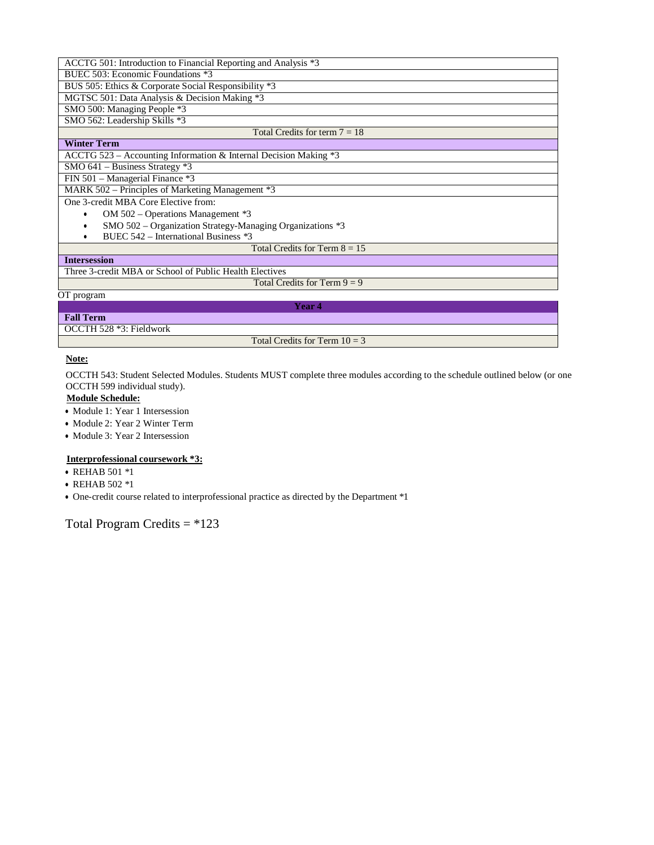| ACCTG 501: Introduction to Financial Reporting and Analysis *3   |  |  |
|------------------------------------------------------------------|--|--|
| BUEC 503: Economic Foundations *3                                |  |  |
| BUS 505: Ethics & Corporate Social Responsibility *3             |  |  |
| MGTSC 501: Data Analysis & Decision Making *3                    |  |  |
| SMO 500: Managing People *3                                      |  |  |
| SMO 562: Leadership Skills *3                                    |  |  |
| Total Credits for term $7 = 18$                                  |  |  |
| <b>Winter Term</b>                                               |  |  |
| ACCTG 523 - Accounting Information & Internal Decision Making *3 |  |  |
| SMO $641$ – Business Strategy $*3$                               |  |  |
| FIN 501 – Managerial Finance *3                                  |  |  |
| MARK 502 – Principles of Marketing Management *3                 |  |  |
| One 3-credit MBA Core Elective from:                             |  |  |
| OM 502 – Operations Management *3                                |  |  |
| SMO 502 - Organization Strategy-Managing Organizations *3        |  |  |
| BUEC 542 - International Business *3                             |  |  |
| Total Credits for Term $8 = 15$                                  |  |  |
| <b>Intersession</b>                                              |  |  |
| Three 3-credit MBA or School of Public Health Electives          |  |  |
| Total Credits for Term $9 = 9$                                   |  |  |
| OT program                                                       |  |  |
| <b>Year 4</b>                                                    |  |  |
| <b>Fall Term</b>                                                 |  |  |
| OCCTH 528 *3: Fieldwork                                          |  |  |
| Total Credits for Term $10 = 3$                                  |  |  |

#### **Note:**

OCCTH 543: Student Selected Modules. Students MUST complete three modules according to the schedule outlined below (or one OCCTH 599 individual study).

#### **Module Schedule:**

- Module 1: Year 1 Intersession
- Module 2: Year 2 Winter Term
- Module 3: Year 2 Intersession

#### **Interprofessional coursework \*3:**

- REHAB 501 \*1
- REHAB 502 \*1
- One-credit course related to interprofessional practice as directed by the Department \*1

# Total Program Credits = \*123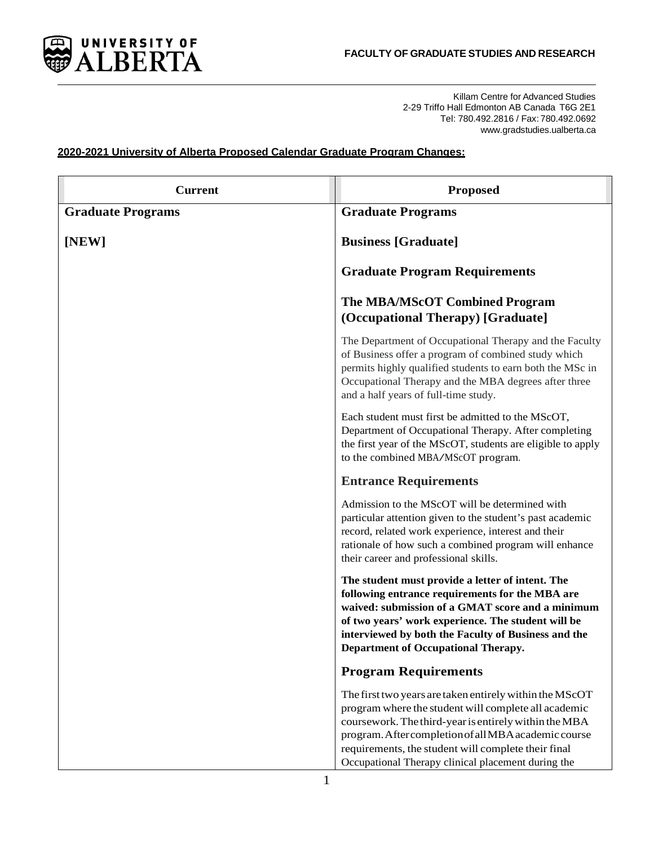

Killam Centre for Advanced Studies 2-29 Triffo Hall Edmonton AB Canada T6G 2E1 Tel: 780.492.2816 / Fax: 780.492.0692 [www.gradstudies.ualberta.ca](http://www.gradstudies.ualberta.ca/)

### **2020-2021 University of Alberta Proposed Calendar Graduate Program Changes:**

| <b>Current</b>           | <b>Proposed</b>                                                                                                                                                                                                                                                                                                                               |
|--------------------------|-----------------------------------------------------------------------------------------------------------------------------------------------------------------------------------------------------------------------------------------------------------------------------------------------------------------------------------------------|
| <b>Graduate Programs</b> | <b>Graduate Programs</b>                                                                                                                                                                                                                                                                                                                      |
| [NEW]                    | <b>Business</b> [Graduate]                                                                                                                                                                                                                                                                                                                    |
|                          | <b>Graduate Program Requirements</b>                                                                                                                                                                                                                                                                                                          |
|                          | <b>The MBA/MScOT Combined Program</b><br>(Occupational Therapy) [Graduate]                                                                                                                                                                                                                                                                    |
|                          | The Department of Occupational Therapy and the Faculty<br>of Business offer a program of combined study which<br>permits highly qualified students to earn both the MSc in<br>Occupational Therapy and the MBA degrees after three<br>and a half years of full-time study.                                                                    |
|                          | Each student must first be admitted to the MScOT,<br>Department of Occupational Therapy. After completing<br>the first year of the MScOT, students are eligible to apply<br>to the combined MBA/MScOT program.                                                                                                                                |
|                          | <b>Entrance Requirements</b>                                                                                                                                                                                                                                                                                                                  |
|                          | Admission to the MScOT will be determined with<br>particular attention given to the student's past academic<br>record, related work experience, interest and their<br>rationale of how such a combined program will enhance<br>their career and professional skills.                                                                          |
|                          | The student must provide a letter of intent. The<br>following entrance requirements for the MBA are<br>waived: submission of a GMAT score and a minimum<br>of two years' work experience. The student will be<br>interviewed by both the Faculty of Business and the<br>Department of Occupational Therapy.                                   |
|                          | <b>Program Requirements</b>                                                                                                                                                                                                                                                                                                                   |
|                          | The first two years are taken entirely within the MScOT<br>program where the student will complete all academic<br>coursework. The third-year is entirely within the MBA<br>program. After completion of all MBA academic course<br>requirements, the student will complete their final<br>Occupational Therapy clinical placement during the |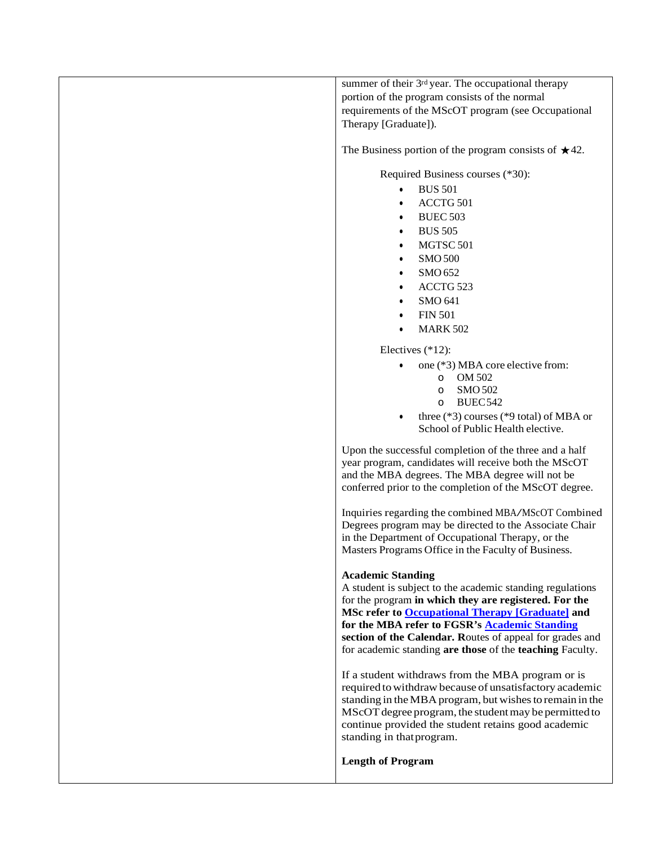summer of their 3<sup>rd</sup> year. The occupational therapy portion of the program consists of the normal requirements of the MScOT program (see Occupational Therapy [Graduate]).

The Business portion of the program consists of  $\star$ 42.

Required Business courses (\*30):

- BUS 501
- ACCTG 501
- BUEC 503
- BUS 505
- MGTSC 501
- SMO 500
- SMO 652
- ACCTG 523
- SMO 641
- FIN 501
- $\bullet$  MARK 502

Electives (\*12):

- one (\*3) MBA core elective from:
	- o OM 502
		- o SMO 502
		- o BUEC542
- three (\*3) courses (\*9 total) of MBA or School of Public Health elective.

Upon the successful completion of the three and a half year program, candidates will receive both the MScOT and the MBA degrees. The MBA degree will not be conferred prior to the completion of the MScOT degree.

Inquiries regarding the combined MBA/MScOT Combined Degrees program may be directed to the Associate Chair in the Department of Occupational Therapy, or the Masters Programs Office in the Faculty of Business.

#### **Academic Standing**

A student is subject to the academic standing regulations for the program **in which they are registered. For the MSc refer to [Occupational Therapy \[Graduate\]](https://calendar.ualberta.ca/preview_program.php?catoid=28&poid=27163&returnto=7168) and for the MBA refer to FGSR's [Academic Standing](https://calendar.ualberta.ca/content.php?catoid=28&navoid=6997&academic-standing) section of the Calendar. R**outes of appeal for grades and for academic standing **are those** of the **teaching** Faculty.

If a student withdraws from the MBA program or is required towithdraw because of unsatisfactory academic standing in the MBA program, but wishes to remain in the MScOT degree program, the student may be permitted to continue provided the student retains good academic standing in that program.

**Length of Program**